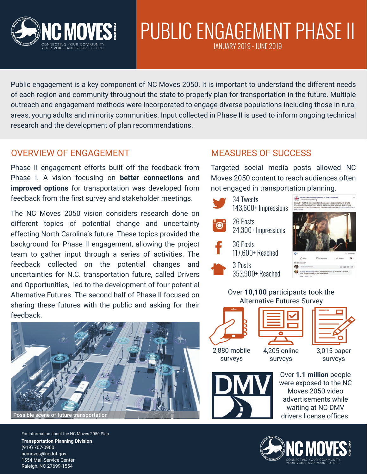

# PUBLIC ENGAGEMENT PHASE II

JANUARY 2019 - JUNE 2019

Public engagement is a key component of NC Moves 2050. It is important to understand the different needs of each region and community throughout the state to properly plan for transportation in the future. Multiple outreach and engagement methods were incorporated to engage diverse populations including those in rural areas, young adults and minority communities. Input collected in Phase II is used to inform ongoing technical research and the development of plan recommendations.

### OVERVIEW OF ENGAGEMENT

Phase II engagement efforts built off the feedback from Phase I. A vision focusing on **better connections** and **improved options** for transportation was developed from feedback from the first survey and stakeholder meetings.

The NC Moves 2050 vision considers research done on different topics of potential change and uncertainty effecting North Carolina's future. These topics provided the background for Phase II engagement, allowing the project team to gather input through a series of activities. The feedback collected on the potential changes and uncertainties for N.C. transportation future, called Drivers and Opportunities, led to the development of four potential Alternative Futures. The second half of Phase II focused on sharing these futures with the public and asking for their feedback.



For information about the NC Moves 2050 Plan **Transportation Planning Division** (919) 707-0900 ncmoves@ncdot.gov 1554 Mail Service Center Raleigh, NC 27699-1554

### MEASURES OF SUCCESS

Targeted social media posts allowed NC Moves 2050 content to reach audiences often not engaged in transportation planning.

34 Tweets 143,600+ Impressions 26 Posts 24,300+ Impressions 36 Posts 117,600+ Reached 3 Posts  $0.0.0.7$ 353,900+ Reached Over **10,100** participants took the





2,880 mobile surveys

4,205 online surveys

3,015 paper surveys



Over **1.1 million** people were exposed to the NC Moves 2050 video advertisements while waiting at NC DMV drivers license offices.

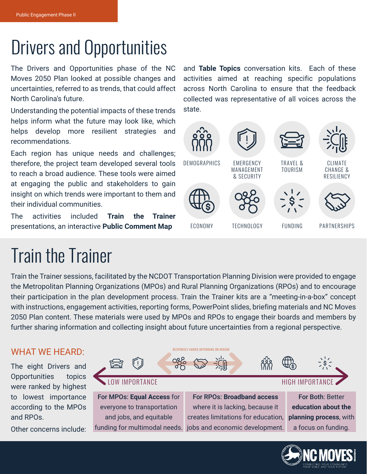## Drivers and Opportunities

The Drivers and Opportunities phase of the NC Moves 2050 Plan looked at possible changes and uncertainties, referred to as trends, that could affect North Carolina's future.

Understanding the potential impacts of these trends helps inform what the future may look like, which helps develop more resilient strategies and recommendations.

Each region has unique needs and challenges; therefore, the project team developed several tools to reach a broad audience. These tools were aimed at engaging the public and stakeholders to gain insight on which trends were important to them and their individual communities.

The activities included **Train the Trainer** presentations, an interactive **Public Comment Map**

## Train the Trainer

Train the Trainer sessions, facilitated by the NCDOT Transportation Planning Division were provided to engage the Metropolitan Planning Organizations (MPOs) and Rural Planning Organizations (RPOs) and to encourage their participation in the plan development process. Train the Trainer kits are a "meeting-in-a-box" concept with instructions, engagement activities, reporting forms, PowerPoint slides, briefing materials and NC Moves 2050 Plan content. These materials were used by MPOs and RPOs to engage their boards and members by further sharing information and collecting insight about future uncertainties from a regional perspective.

### WHAT WE HEARD:

The eight Drivers and Opportunities topics were ranked by highest to lowest importance according to the MPOs and RPOs.

Other concerns include:





and **Table Topics** conversation kits. Each of these activities aimed at reaching specific populations across North Carolina to ensure that the feedback collected was representative of all voices across the state.

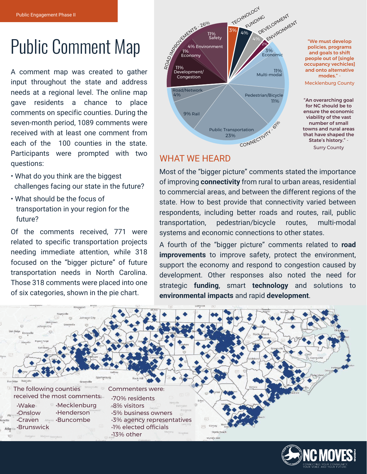## Public Comment Map

A comment map was created to gather input throughout the state and address needs at a regional level. The online map gave residents a chance to place comments on specific counties. During the seven-month period, 1089 comments were received with at least one comment from each of the 100 counties in the state. Participants were prompted with two questions:

- What do you think are the biggest challenges facing our state in the future?
- What should be the focus of transportation in your region for the future?

Of the comments received, 771 were related to specific transportation projects needing immediate attention, while 318 focused on the "bigger picture" of future transportation needs in North Carolina. Those 318 comments were placed into one of six categories, shown in the pie chart.



### WHAT WE HEARD

Most of the "bigger picture" comments stated the importance of improving **connectivity** from rural to urban areas, residential to commercial areas, and between the different regions of the state. How to best provide that connectivity varied between respondents, including better roads and routes, rail, public transportation, pedestrian/bicycle routes, multi-modal systems and economic connections to other states.

A fourth of the "bigger picture" comments related to **road improvements** to improve safety, protect the environment, support the economy and respond to congestion caused by development. Other responses also noted the need for strategic **funding**, smart **technology** and solutions to **environmental impacts** and rapid **development**.



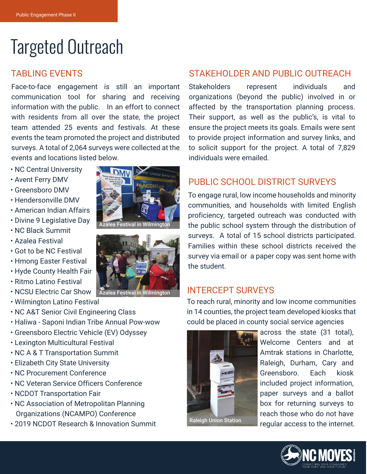## Targeted Outreach

### TABLING EVENTS

Face-to-face engagement is still an important communication tool for sharing and receiving information with the public. In an effort to connect with residents from all over the state, the project team attended 25 events and festivals. At these events the team promoted the project and distributed surveys. A total of 2,064 surveys were collected at the events and locations listed below.

- NC Central University
- Avent Ferry DMV
- Greensboro DMV
- Hendersonville DMV
- American Indian Affairs
- Divine 9 Legislative Day
- NC Black Summit
- Azalea Festival
- Got to be NC Festival
- Hmong Easter Festival
- Hyde County Health Fair
- Ritmo Latino Festival
- NCSU Electric Car Show Azalea Festival in Wilmington
- Wilmington Latino Festival
- NC A&T Senior Civil Engineering Class
- Haliwa Saponi Indian Tribe Annual Pow-wow
- Greensboro Electric Vehicle (EV) Odyssey
- Lexington Multicultural Festival
- NC A & T Transportation Summit
- Elizabeth City State University
- NC Procurement Conference
- NC Veteran Service Officers Conference
- NCDOT Transportation Fair
- NC Association of Metropolitan Planning Organizations (NCAMPO) Conference
- 2019 NCDOT Research & Innovation Summit





### STAKEHOLDER AND PUBLIC OUTREACH

Stakeholders represent individuals and organizations (beyond the public) involved in or affected by the transportation planning process. Their support, as well as the public's, is vital to ensure the project meets its goals. Emails were sent to provide project information and survey links, and to solicit support for the project. A total of 7,829 individuals were emailed.

### PUBLIC SCHOOL DISTRICT SURVEYS

To engage rural, low income households and minority communities, and households with limited English proficiency, targeted outreach was conducted with the public school system through the distribution of surveys. A total of 15 school districts participated. Families within these school districts received the survey via email or a paper copy was sent home with the student.

### INTERCEPT SURVEYS

To reach rural, minority and low income communities in 14 counties, the project team developed kiosks that could be placed in county social service agencies



across the state (31 total), Welcome Centers and at Amtrak stations in Charlotte, Raleigh, Durham, Cary and Greensboro. Each kiosk included project information, paper surveys and a ballot box for returning surveys to reach those who do not have regular access to the internet.

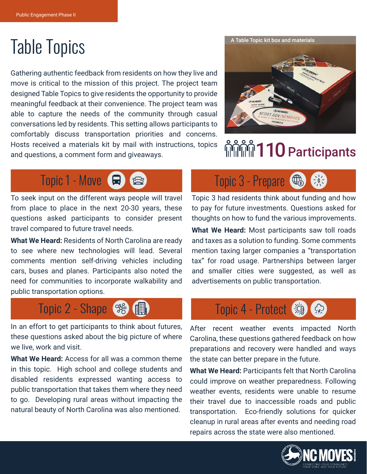Gathering authentic feedback from residents on how they live and move is critical to the mission of this project. The project team designed Table Topics to give residents the opportunity to provide meaningful feedback at their convenience. The project team was able to capture the needs of the community through casual conversations led by residents. This setting allows participants to comfortably discuss transportation priorities and concerns. Hosts received a materials kit by mail with instructions, topics and questions, a comment form and giveaways.



## <u>ିଲ୍ଲାଲି</u> ମାନ୍ତ Participants



To seek input on the different ways people will travel from place to place in the next 20-30 years, these questions asked participants to consider present travel compared to future travel needs.

**What We Heard:** Residents of North Carolina are ready to see where new technologies will lead. Several comments mention self-driving vehicles including cars, buses and planes. Participants also noted the need for communities to incorporate walkability and public transportation options.

## Topic 2 - Shape (%) (1) Topic 4 - Protect (消)

In an effort to get participants to think about futures, these questions asked about the big picture of where we live, work and visit.

**What We Heard:** Access for all was a common theme in this topic. High school and college students and disabled residents expressed wanting access to public transportation that takes them where they need to go. Developing rural areas without impacting the natural beauty of North Carolina was also mentioned.

## $\frac{1}{2}$   $\frac{1}{2}$

Topic 3 had residents think about funding and how to pay for future investments. Questions asked for thoughts on how to fund the various improvements.

**What We Heard:** Most participants saw toll roads and taxes as a solution to funding. Some comments mention taxing larger companies a "transportation tax" for road usage. Partnerships between larger and smaller cities were suggested, as well as advertisements on public transportation.

After recent weather events impacted North Carolina, these questions gathered feedback on how preparations and recovery were handled and ways the state can better prepare in the future.

**What We Heard:** Participants felt that North Carolina could improve on weather preparedness. Following weather events, residents were unable to resume their travel due to inaccessible roads and public transportation. Eco-friendly solutions for quicker cleanup in rural areas after events and needing road repairs across the state were also mentioned.

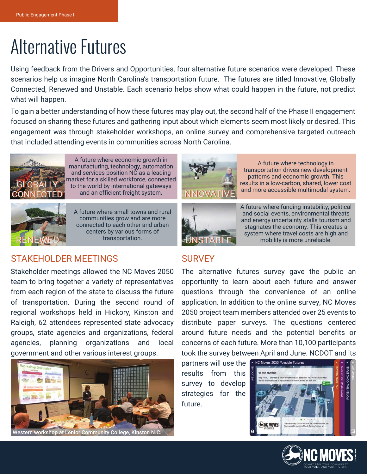## Alternative Futures

Using feedback from the Drivers and Opportunities, four alternative future scenarios were developed. These scenarios help us imagine North Carolina's transportation future. The futures are titled Innovative, Globally Connected, Renewed and Unstable. Each scenario helps show what could happen in the future, not predict what will happen.

To gain a better understanding of how these futures may play out, the second half of the Phase II engagement focused on sharing these futures and gathering input about which elements seem most likely or desired. This engagement was through stakeholder workshops, an online survey and comprehensive targeted outreach that included attending events in communities across North Carolina.



A future where economic growth in manufacturing, technology, automation and services position NC as a leading market for a skilled workforce, connected to the world by international gateways and an efficient freight system.



A future where small towns and rural communities grow and are more connected to each other and urban centers by various forms of transportation.



A future where technology in transportation drives new development patterns and economic growth. This results in a low-carbon, shared, lower cost and more accessible multimodal system.



A future where funding instability, political and social events, environmental threats and energy uncertainty stalls tourism and stagnates the economy. This creates a system where travel costs are high and mobility is more unreliable.

### STAKEHOLDER MEETINGS SURVEY

Stakeholder meetings allowed the NC Moves 2050 team to bring together a variety of representatives from each region of the state to discuss the future of transportation. During the second round of regional workshops held in Hickory, Kinston and Raleigh, 62 attendees represented state advocacy groups, state agencies and organizations, federal agencies, planning organizations and local government and other various interest groups.



Vestern workshop at Lenior Community College, Kinston N

The alternative futures survey gave the public an opportunity to learn about each future and answer questions through the convenience of an online application. In addition to the online survey, NC Moves 2050 project team members attended over 25 events to distribute paper surveys. The questions centered around future needs and the potential benefits or concerns of each future. More than 10,100 participants took the survey between April and June. NCDOT and its

partners will use the v NC Moves 2050 Possible Futures results from this survey to develop strategies for the future.